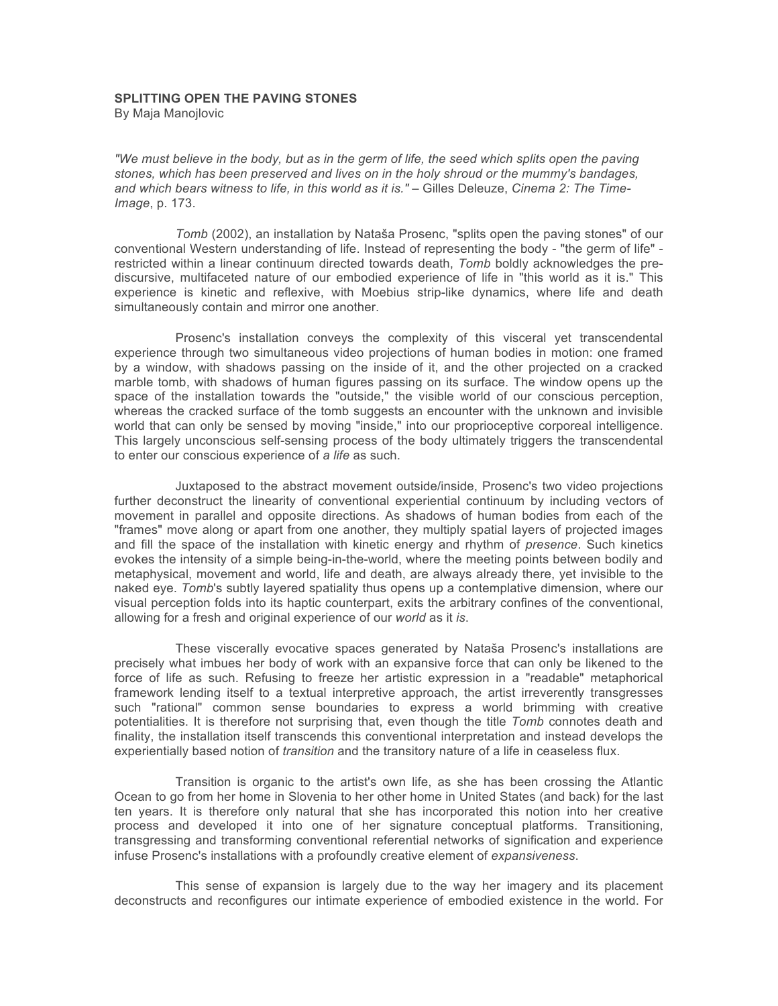## **SPLITTING OPEN THE PAVING STONES**

By Maja Manojlovic

*"We must believe in the body, but as in the germ of life, the seed which splits open the paving stones, which has been preserved and lives on in the holy shroud or the mummy's bandages, and which bears witness to life, in this world as it is."* – Gilles Deleuze, *Cinema 2: The Time-Image*, p. 173.

*Tomb* (2002), an installation by Nataša Prosenc, "splits open the paving stones" of our conventional Western understanding of life. Instead of representing the body - "the germ of life" restricted within a linear continuum directed towards death, *Tomb* boldly acknowledges the prediscursive, multifaceted nature of our embodied experience of life in "this world as it is." This experience is kinetic and reflexive, with Moebius strip-like dynamics, where life and death simultaneously contain and mirror one another.

Prosenc's installation conveys the complexity of this visceral yet transcendental experience through two simultaneous video projections of human bodies in motion: one framed by a window, with shadows passing on the inside of it, and the other projected on a cracked marble tomb, with shadows of human figures passing on its surface. The window opens up the space of the installation towards the "outside," the visible world of our conscious perception, whereas the cracked surface of the tomb suggests an encounter with the unknown and invisible world that can only be sensed by moving "inside," into our proprioceptive corporeal intelligence. This largely unconscious self-sensing process of the body ultimately triggers the transcendental to enter our conscious experience of *a life* as such.

Juxtaposed to the abstract movement outside/inside, Prosenc's two video projections further deconstruct the linearity of conventional experiential continuum by including vectors of movement in parallel and opposite directions. As shadows of human bodies from each of the "frames" move along or apart from one another, they multiply spatial layers of projected images and fill the space of the installation with kinetic energy and rhythm of *presence*. Such kinetics evokes the intensity of a simple being-in-the-world, where the meeting points between bodily and metaphysical, movement and world, life and death, are always already there, yet invisible to the naked eye. *Tomb*'s subtly layered spatiality thus opens up a contemplative dimension, where our visual perception folds into its haptic counterpart, exits the arbitrary confines of the conventional, allowing for a fresh and original experience of our *world* as it *is*.

These viscerally evocative spaces generated by Nataša Prosenc's installations are precisely what imbues her body of work with an expansive force that can only be likened to the force of life as such. Refusing to freeze her artistic expression in a "readable" metaphorical framework lending itself to a textual interpretive approach, the artist irreverently transgresses such "rational" common sense boundaries to express a world brimming with creative potentialities. It is therefore not surprising that, even though the title *Tomb* connotes death and finality, the installation itself transcends this conventional interpretation and instead develops the experientially based notion of *transition* and the transitory nature of a life in ceaseless flux.

Transition is organic to the artist's own life, as she has been crossing the Atlantic Ocean to go from her home in Slovenia to her other home in United States (and back) for the last ten years. It is therefore only natural that she has incorporated this notion into her creative process and developed it into one of her signature conceptual platforms. Transitioning, transgressing and transforming conventional referential networks of signification and experience infuse Prosenc's installations with a profoundly creative element of *expansiveness*.

This sense of expansion is largely due to the way her imagery and its placement deconstructs and reconfigures our intimate experience of embodied existence in the world. For